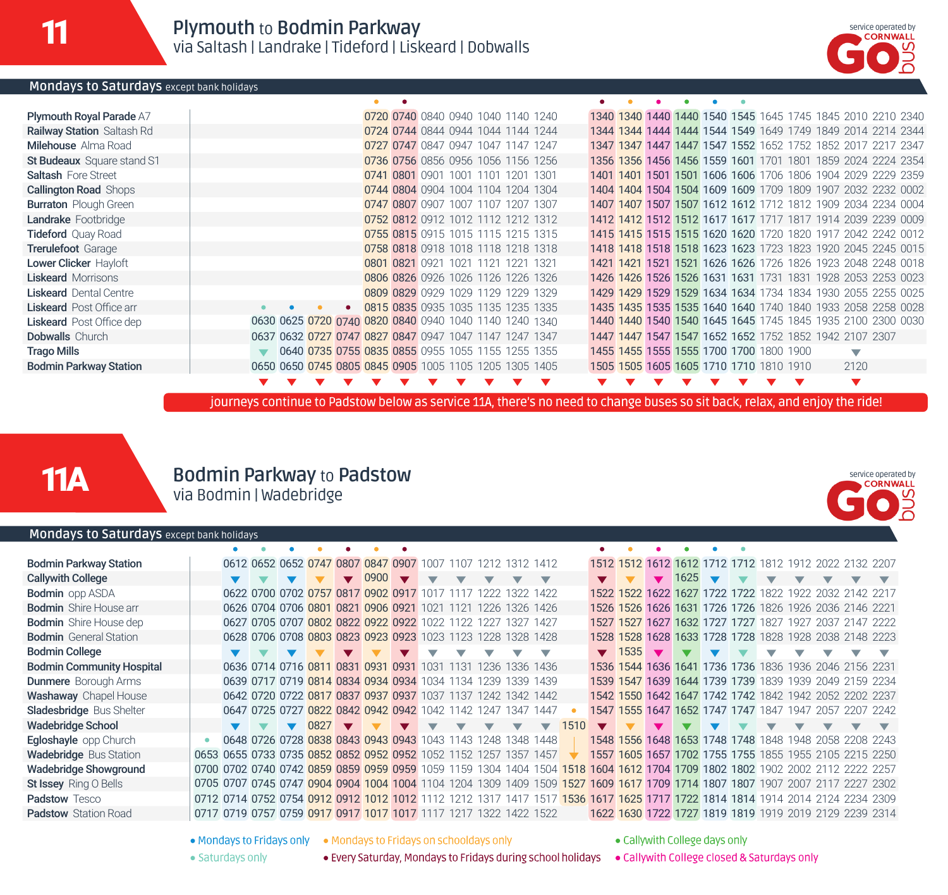

service operated by<br>CORNWALL

#### **Mondays to Saturdays** except bank holidays

| <b>Plymouth Royal Parade A7</b>   |  |                                                        |  | 0720 0740 0840 0940 1040 1140 1240 |  |  |  |  | 1340 1340 1440 1440 1540 1545 1645 1745 1845 2010 2210 2340 |  |  |      |  |
|-----------------------------------|--|--------------------------------------------------------|--|------------------------------------|--|--|--|--|-------------------------------------------------------------|--|--|------|--|
| <b>Railway Station Saltash Rd</b> |  |                                                        |  | 0724 0744 0844 0944 1044 1144 1244 |  |  |  |  | 1344 1344 1444 1444 1544 1549 1649 1749 1849 2014 2214 2344 |  |  |      |  |
| <b>Milehouse</b> Alma Road        |  |                                                        |  | 0727 0747 0847 0947 1047 1147 1247 |  |  |  |  | 1347 1347 1447 1447 1547 1552 1652 1752 1852 2017 2217 2347 |  |  |      |  |
| St Budeaux Square stand S1        |  |                                                        |  | 0736 0756 0856 0956 1056 1156 1256 |  |  |  |  | 1356 1356 1456 1456 1559 1601 1701 1801 1859 2024 2224 2354 |  |  |      |  |
| <b>Saltash</b> Fore Street        |  |                                                        |  | 0741 0801 0901 1001 1101 1201 1301 |  |  |  |  | 1401 1401 1501 1501 1606 1606 1706 1806 1904 2029 2229 2359 |  |  |      |  |
| <b>Callington Road Shops</b>      |  |                                                        |  | 0744 0804 0904 1004 1104 1204 1304 |  |  |  |  | 1404 1404 1504 1504 1609 1609 1709 1809 1907 2032 2232 0002 |  |  |      |  |
| <b>Burraton</b> Plough Green      |  |                                                        |  | 0747 0807 0907 1007 1107 1207 1307 |  |  |  |  | 1407 1407 1507 1507 1612 1612 1712 1812 1909 2034 2234 0004 |  |  |      |  |
| Landrake Footbridge               |  |                                                        |  | 0752 0812 0912 1012 1112 1212 1312 |  |  |  |  | 1412 1412 1512 1512 1617 1617 1717 1817 1914 2039 2239 0009 |  |  |      |  |
| <b>Tideford</b> Quay Road         |  |                                                        |  | 0755 0815 0915 1015 1115 1215 1315 |  |  |  |  | 1415 1415 1515 1515 1620 1620 1720 1820 1917 2042 2242 0012 |  |  |      |  |
| Trerulefoot Garage                |  |                                                        |  | 0758 0818 0918 1018 1118 1218 1318 |  |  |  |  | 1418 1418 1518 1518 1623 1623 1723 1823 1920 2045 2245 0015 |  |  |      |  |
| Lower Clicker Hayloft             |  |                                                        |  | 0801 0821 0921 1021 1121 1221 1321 |  |  |  |  | 1421 1421 1521 1521 1626 1626 1726 1826 1923 2048 2248 0018 |  |  |      |  |
| <b>Liskeard Morrisons</b>         |  |                                                        |  | 0806 0826 0926 1026 1126 1226 1326 |  |  |  |  | 1426 1426 1526 1526 1631 1631 1731 1831 1928 2053 2253 0023 |  |  |      |  |
| <b>Liskeard</b> Dental Centre     |  |                                                        |  | 0809 0829 0929 1029 1129 1229 1329 |  |  |  |  | 1429 1429 1529 1529 1634 1634 1734 1834 1930 2055 2255 0025 |  |  |      |  |
| <b>Liskeard</b> Post Office arr   |  |                                                        |  | 0815 0835 0935 1035 1135 1235 1335 |  |  |  |  | 1435 1435 1535 1535 1640 1640 1740 1840 1933 2058 2258 0028 |  |  |      |  |
| <b>Liskeard</b> Post Office dep   |  | 0630 0625 0720 0740 0820 0840 0940 1040 1140 1240 1340 |  |                                    |  |  |  |  | 1440 1440 1540 1540 1645 1645 1745 1845 1935 2100 2300 0030 |  |  |      |  |
| <b>Dobwalls</b> Church            |  | 0637 0632 0727 0747 0827 0847 0947 1047 1147 1247 1347 |  |                                    |  |  |  |  | 1447 1447 1547 1547 1652 1652 1752 1852 1942 2107 2307      |  |  |      |  |
| <b>Trago Mills</b>                |  | ▼ 0640 0735 0755 0835 0855 0955 1055 1155 1255 1355    |  |                                    |  |  |  |  | 1455 1455 1555 1555 1700 1700 1800 1900                     |  |  | ▽    |  |
| <b>Bodmin Parkway Station</b>     |  | 0650 0650 0745 0805 0845 0905 1005 1105 1205 1305 1405 |  |                                    |  |  |  |  | 1505 1505 1605 1605 1710 1710 1810 1910                     |  |  | 2120 |  |
|                                   |  |                                                        |  |                                    |  |  |  |  |                                                             |  |  |      |  |

journeys continue to Padstow below as service 11A, there's no need to change buses so sit back, relax, and enjoy the ride!

## 11A

## **Bodmin Parkway** to **Padstow**

via Bodmin | Wadebridge

#### **Mondays to Saturdays** except bank holidays

| <b>Bodmin Parkway Station</b>    |  | 0612 0652 0652 0747 0807 0847 0907 1007 1107 1212 1312 1412      |      |              |      |                |                          |      |       |                |                      |      |              |           |                |      |  | 1512 1512 1612 1612 1712 1712 1812 1912 2022 2132 2207           |  |                     |  |
|----------------------------------|--|------------------------------------------------------------------|------|--------------|------|----------------|--------------------------|------|-------|----------------|----------------------|------|--------------|-----------|----------------|------|--|------------------------------------------------------------------|--|---------------------|--|
| <b>Callywith College</b>         |  |                                                                  |      | $\mathbf{v}$ | 0900 | $\blacksquare$ | $\overline{\phantom{0}}$ |      |       |                |                      |      |              |           | $\blacksquare$ | 1625 |  | $\overline{\phantom{a}}$                                         |  |                     |  |
| <b>Bodmin</b> opp ASDA           |  | 0622 0700 0702 0757 0817 0902 0917 1017                          |      |              |      |                |                          |      | 1722. | 1322.          | 1422                 |      |              |           |                |      |  | 1522 1522 1622 1627 1722 1722 1822 1922 2032 2142 2217           |  |                     |  |
| <b>Bodmin</b> Shire House arr    |  | 0626 0704 0706 0801 0821 0906 0921 1021                          |      |              |      |                |                          | 1121 | 1226. |                | 1326 1426            |      |              |           |                |      |  | 1526 1526 1626 1631 1726 1726 1826 1926 2036 2146 2221           |  |                     |  |
| <b>Bodmin</b> Shire House dep    |  | 0627 0705 0707 0802 0822 0922 0922 1022 1122                     |      |              |      |                |                          |      |       | 32             | 1427                 |      |              | 1527 1527 |                |      |  | 1627 1632 1727 1727 1827                                         |  | 1927 2037 2147 2222 |  |
| <b>Bodmin</b> General Station    |  | 0628 0706 0708 0803 0823 0923 0923 1023 1123                     |      |              |      |                |                          |      | 1228. | 1328           | 1428                 |      |              | 1528 1528 |                |      |  | 1628 1633 1728 1728 1828 1928 2038 2148 2223                     |  |                     |  |
| <b>Bodmin College</b>            |  |                                                                  |      |              |      |                |                          |      |       |                | ▽                    |      | $\mathbf{v}$ | 1535      |                |      |  | ▽                                                                |  |                     |  |
| <b>Bodmin Community Hospital</b> |  | 0636 0714 0716 0811 0831 0931 0931 1031                          |      |              |      |                |                          | 1131 | 1236. | 336            | 1436                 |      | 1536         | 1544      |                |      |  | 1636 1641 1736 1736 1836 1936 2046 2156 2231                     |  |                     |  |
| <b>Dunmere</b> Borough Arms      |  | 0639 0717 0719 0814 0834 0934 0934 1034 1134                     |      |              |      |                |                          |      | 1239  | 1339.          | 1439                 |      | 1539         | 1547      |                |      |  | 1639 1644 1739 1739 1839 1939 2049 2159 2234                     |  |                     |  |
| <b>Washaway</b> Chapel House     |  | 0642 0720 0722 0817 0837 0937 0937 1037 1137                     |      |              |      |                |                          |      |       | 1242 1342 1442 |                      |      |              |           |                |      |  | 1542 1550 1642 1647 1742 1742 1842 1942 2052 2202 2237           |  |                     |  |
| Sladesbridge Bus Shelter         |  | 0647 0725 0727 0822 0842 0942 0942 1042 1142                     |      |              |      |                |                          |      | 1247  | 1347           | 1447                 |      |              |           |                |      |  | 1547 1555 1647 1652 1747 1747 1847                               |  | 1947 2057 2207 2242 |  |
| Wadebridge School                |  |                                                                  | 0827 |              |      |                |                          |      |       |                | $\blacktriangledown$ | 1510 |              |           |                |      |  |                                                                  |  |                     |  |
| Egloshayle opp Church            |  | 0648 0726 0728 0838 0843 0943 0943 1043 1143                     |      |              |      |                |                          |      | 1248  | 1348.          | 1448                 |      |              |           |                |      |  | 1548 1556 1648 1653 1748 1748 1848                               |  | 1948 2058 2208 2243 |  |
| <b>Wadebridge Bus Station</b>    |  | 0653 0655 0733 0735 0852 0852 0952 0952 1052 1152 1257           |      |              |      |                |                          |      |       | 1357           | 1457                 |      | 1557         |           |                |      |  | 1605 1657 1702 1755 1755 1855 1955 2105 2215 2250                |  |                     |  |
| <b>Wadebridge Showground</b>     |  | 0700 0702 0740 0742 0859 0859 0959 0959 1059                     |      |              |      |                |                          | 1159 | 1304  | 1404           |                      |      |              |           |                |      |  | 1504 1518 1604 1612 1704 1709 1802 1802 1902 2002 2112 2222 2257 |  |                     |  |
| St Issey Ring O Bells            |  | 0705 0707 0745 0747 0904 0904 1004 1004 1104 1204 1309           |      |              |      |                |                          |      |       | 1409 1509 1527 |                      |      |              |           |                |      |  | 1609 1617 1709 1714 1807 1807 1907 2007 2117 2227 2302           |  |                     |  |
| <b>Padstow Tesco</b>             |  | 0712 0714 0752 0754 0912 0912 1012 1012 1112 1212 1317 1411      |      |              |      |                |                          |      |       |                | 1517                 | 1536 |              |           |                |      |  | 1617 1625 1717 1722 1814 1814 1914 2014 2124 2234 2309           |  |                     |  |
| <b>Padstow</b> Station Road      |  | 0717 0719 0757 0759 0917 0917 1017 1017 1117 1217 1322 1422 1522 |      |              |      |                |                          |      |       |                |                      |      |              |           |                |      |  | 1622 1630 1722 1727 1819 1819 1919 2019 2129 2239 2314           |  |                     |  |
|                                  |  |                                                                  |      |              |      |                |                          |      |       |                |                      |      |              |           |                |      |  |                                                                  |  |                     |  |

• Mondays to Fridays only • Mondays to Fridays on schooldays only

• Saturdays only

· Callywith College days only

• Every Saturday, Mondays to Fridays during school holidays • Callywith College closed & Saturdays only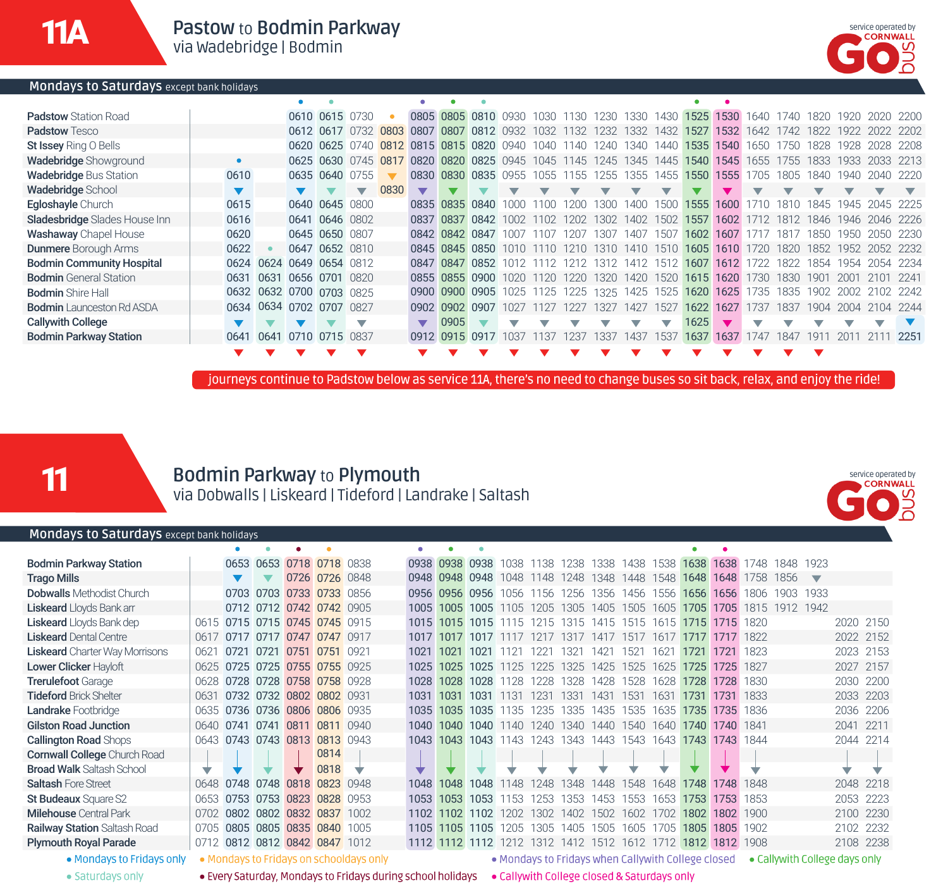

**Mondays to Saturdays** except bank holidays

| <b>Padstow</b> Station Road      |      |                          | 0610 0615 0730 |                          |      |                                                                                      |                | 0805 0805 0810 0930 1030 1130 1230 1330 |           |        |      |           |      | 1430                     |      | 1525 1530 1640 1740 |       |      |      |           | 1820 1920 2020 2200 |                          |
|----------------------------------|------|--------------------------|----------------|--------------------------|------|--------------------------------------------------------------------------------------|----------------|-----------------------------------------|-----------|--------|------|-----------|------|--------------------------|------|---------------------|-------|------|------|-----------|---------------------|--------------------------|
| <b>Padstow Tesco</b>             |      |                          |                |                          |      | 0612 0617 0732 0803 0807 0807 0812 0932 1032 1132 1232 1332 1432 1527 1532 1642 1742 |                |                                         |           |        |      |           |      |                          |      |                     |       |      |      |           | 1822 1922 2022 2202 |                          |
| St Issey Ring O Bells            |      |                          |                | 0620 0625 0740           |      | 0812 0815 0815 0820 0940 1040 1140                                                   |                |                                         |           |        |      | 1240 I    | 1340 | 1440                     |      | 1535 1540 1650      |       | 1750 | 1828 | 1928      | 2028 2208           |                          |
| <b>Wadebridge Showground</b>     |      |                          |                |                          |      | 0625 0630 0745 0817 0820 0820 0825 0945 1045 1145 1245 1345 1445 1540 1545 1655 1755 |                |                                         |           |        |      |           |      |                          |      |                     |       |      |      |           | 1833 1933 2033 2213 |                          |
| <b>Wadebridge Bus Station</b>    | 0610 |                          | 0635 0640 0755 |                          |      |                                                                                      |                | 0830 0830 0835 0955 1055 1155           |           |        |      | 1255 1355 |      |                          |      | 1455 1550 1555      | 1705  | 1805 | 1840 | 1940      | 2040 2220           |                          |
| <b>Wadebridge School</b>         |      |                          |                | $\overline{\phantom{a}}$ | 0830 |                                                                                      |                |                                         |           |        |      |           |      | ▼                        |      |                     |       |      |      |           |                     | $\overline{\phantom{0}}$ |
| Egloshayle Church                | 0615 |                          | 0640 0645 0800 |                          |      |                                                                                      |                | 0835 0835 0840                          |           | 11 N N | 1200 | 1300.     | 1400 | 1500                     |      | 1555 1600           | 71 N  | 1810 | 1845 | 1945      | 2045 2225           |                          |
| Sladesbridge Slades House Inn    | 0616 |                          | 0641 0646 0802 |                          |      |                                                                                      |                | 0837 0837 0842                          |           | 1102   | 1202 | 1302.     | 1402 | 1502                     | 1557 | 1602                | 1712  | 1812 |      | 1846 1946 | 2046 2226           |                          |
| <b>Washaway</b> Chapel House     | 0620 |                          | 0645 0650 0807 |                          |      |                                                                                      |                | 0842 0842 0847                          | 1007      | 1107   | 1207 | 1307.     | 1407 | 1507                     |      | 1602 1607           |       | 1817 | 1850 | 1950.     | 2050                | -2230                    |
| <b>Dunmere</b> Borough Arms      | 0622 |                          | 0647 0652 0810 |                          |      |                                                                                      |                | 0845 0845 0850                          |           |        | 1210 | 1310      | 1410 | 1510                     |      | 1605 1610           | 1720  | 1820 | 1852 | 1952      | 2052 2232           |                          |
| <b>Bodmin Community Hospital</b> | 0624 | 0624                     | 0649 0654 0812 |                          |      |                                                                                      |                | 0847 0847 0852                          |           |        | 1212 | 1312      | 1412 |                          |      | 1512 1607 1612      | 1722. | 1822 | 1854 | 1954      | 2054                | -2234                    |
| <b>Bodmin</b> General Station    |      | 0631 0631                | 0656 0701 0820 |                          |      |                                                                                      |                | 0855 0855 0900                          | 1020      |        | 1220 | 1320      | 1420 | 1520                     |      | 1615 1620           | 1730  | 1830 | 1901 | 2001      |                     | 2241                     |
| <b>Bodmin</b> Shire Hall         |      | 0632 0632 0700 0703 0825 |                |                          |      |                                                                                      |                | 0900 0900 0905                          | 1025 1125 |        | 1225 | 1325 1425 |      | 1525                     |      | 1620 1625           | 1735  | 1835 | 1902 | 2002      | 2102 2242           |                          |
| <b>Bodmin</b> Launceston Rd ASDA |      | 0634 0634 0702 0707 0827 |                |                          |      |                                                                                      | 0902 0902 0907 |                                         |           |        |      | 1327      | 1427 | 1527                     |      | 1622 1627           | 1737  | 1837 | 1904 | 2004      | 2104                | - 2244                   |
| <b>Callywith College</b>         |      |                          |                |                          |      |                                                                                      | 0905           |                                         |           |        |      |           |      | $\overline{\phantom{a}}$ | 1625 |                     |       |      |      |           |                     |                          |
| <b>Bodmin Parkway Station</b>    | 0641 | 0641                     | 0710 0715 0837 |                          |      | 0912 0915 0917                                                                       |                |                                         | 1037      | 1137   | 1237 | 1337      | 1437 | 1537                     | 1637 | 1637                | 1747  | 1847 | 191  | 2011      |                     | 1 2251                   |
|                                  |      |                          |                |                          |      |                                                                                      |                |                                         |           |        |      |           |      |                          |      |                     |       |      |      |           |                     |                          |

journeys continue to Padstow below as service 11A, there's no need to change buses so sit back, relax, and enjoy the ride!

11

### **Bodmin Parkway** to **Plymouth** via Dobwalls | Liskeard | Tideford | Landrake | Saltash



#### **Mondays to Saturdays** except bank holidays

| <b>Bodmin Parkway Station</b>         |      |      |           | 0653 0653 0718 0718 0838      |                |                                         |      |           | 0938 0938 0938      | 1038 | 1138  | 1238  | 1338 1438           |                                                    | 1538 | 1638      | 1638      | 1748                | 1848      | 1923                    |                               |      |
|---------------------------------------|------|------|-----------|-------------------------------|----------------|-----------------------------------------|------|-----------|---------------------|------|-------|-------|---------------------|----------------------------------------------------|------|-----------|-----------|---------------------|-----------|-------------------------|-------------------------------|------|
| <b>Trago Mills</b>                    |      |      |           |                               | 0726 0726 0848 |                                         |      |           | 0948 0948 0948      | 1048 | 1148  | 1248  | 1348                | 1448                                               | 1548 | 1648      | 1648      | 1758                | 1856      | $\overline{\mathbf{v}}$ |                               |      |
| <b>Dobwalls</b> Methodist Church      |      |      |           | 0703 0703 0733 0733 0856      |                |                                         |      |           | 0956 0956 0956      | 1056 | 1156  | 1256  | 1356 1456           |                                                    | 1556 | 1656      | 1656      | 1806                | 1903 1933 |                         |                               |      |
| <b>Liskeard</b> Lloyds Bank arr       |      |      |           | 0712 0712 0742 0742 0905      |                |                                         |      |           | 1005 1005 1005 1105 |      | 1205  | 1305  |                     | 1405 1505 1605                                     |      | 1705      |           | 1705 1815 1912 1942 |           |                         |                               |      |
| Liskeard Lloyds Bank dep              |      |      |           | 0615 0715 0715 0745 0745 0915 |                |                                         | 1015 | 1015      | 1015                | 1115 | 1215  | 1315  | 1415 1515           |                                                    |      | 1615 1715 | 1715 1820 |                     |           |                         | 2020 2150                     |      |
| <b>Liskeard Dental Centre</b>         |      |      |           | 0617 0717 0717 0747 0747 0917 |                |                                         |      | 1017 1017 | 1017 1117           |      | 1217  | 1317  |                     | 1417 1517 1617 1717                                |      |           | 1717 1822 |                     |           |                         | 2022 2152                     |      |
| <b>Liskeard</b> Charter Way Morrisons | 0621 |      |           | 0721 0721 0751 0751 0921      |                |                                         | 1021 | 1021      | 1021                | 1121 | 1221  | 1321  | 1421                | 1521                                               | 1621 | 1721      | 1721      | 1823                |           |                         | 2023 2153                     |      |
| Lower Clicker Hayloft                 |      |      |           | 0625 0725 0725 0755 0755 0925 |                |                                         |      | 1025 1025 | 1025 1125           |      | 1225  | 1325  | 1425 1525           |                                                    | 1625 | 1725      | 1725 1827 |                     |           |                         | 2027 2157                     |      |
| <b>Trerulefoot Garage</b>             | 0628 |      |           | 0728 0728 0758 0758 0928      |                |                                         | 1028 | 1028      | 1028                | 1128 | 1228  | 1328  | 1428                | 1528                                               | 1628 | 1728      | 1728      | 1830                |           |                         | 2030                          | 2200 |
| <b>Tideford Brick Shelter</b>         | 0631 |      |           | 0732 0732 0802 0802 0931      |                |                                         | 1031 | 1031      | 1031                | 1131 | 1231  | 1331  | 1431                | 1531                                               | 1631 | 1731      | 1731 1833 |                     |           |                         | 2033 2203                     |      |
| Landrake Footbridge                   |      |      |           | 0635 0736 0736 0806 0806 0935 |                |                                         |      |           | 1035 1035 1035      | 1135 | 1235  | 1335  | 1435 1535           |                                                    | 1635 | 1735      | 1735 1836 |                     |           |                         | 2036 2206                     |      |
| <b>Gilston Road Junction</b>          | 0640 | 0741 |           | 0741 0811 0811 0940           |                |                                         | 1040 | 1040      | 1040                | 1140 | 1240  | 1340  | 1440                | 1540                                               | 1640 | 1740      | 1740      | 1841                |           |                         | 2041                          | 2211 |
| <b>Callington Road Shops</b>          |      |      |           | 0643 0743 0743 0813 0813 0943 |                |                                         | 1043 | 1043      | 1043                | 1143 | 1243  | 1343  | 1443 1543           |                                                    | 1643 | 1743      | 1743 1844 |                     |           |                         | 2044 2214                     |      |
| <b>Cornwall College</b> Church Road   |      |      |           |                               | 0814           |                                         |      |           |                     |      |       |       |                     |                                                    |      |           |           |                     |           |                         |                               |      |
| <b>Broad Walk Saltash School</b>      | ▽    |      |           |                               | 0818           | ▽                                       |      |           |                     |      |       |       |                     |                                                    |      |           |           |                     |           |                         | ÷                             |      |
| <b>Saltash Fore Street</b>            | 0648 |      | 0748 0748 |                               | 0818 0823      | 0948                                    | 1048 | 1048      | 1048                | 1148 | 1248  | 348   | 1448                | 1548                                               | 1648 | 1748      | 1748      | 1848                |           |                         | 2048 2218                     |      |
| St Budeaux Square S2                  | 0653 |      |           | 0753 0753 0823 0828 0953      |                |                                         | 1053 | 1053      | 1053                | 1153 | 1253. | 1353. | 1453                | 1553                                               | 1653 | 1753      | 1753      | 1853                |           |                         | 2053                          | 2223 |
| <b>Milehouse</b> Central Park         |      |      |           | 0702 0802 0802 0832 0837 1002 |                |                                         |      |           | 1102 1102 1102      | 1202 | 1302  | 1402  | 1502                | 1602                                               | 1702 | 1802      | 1802 1900 |                     |           |                         | 2100 2230                     |      |
| <b>Railway Station Saltash Road</b>   | 0705 |      |           | 0805 0805 0835 0840 1005      |                |                                         | 1105 | 1105      | 1105                | 1205 | 1305. | 1405  | 1505                | 1605                                               | 1705 | 1805      | 1805      | 1902                |           |                         | 2102 2232                     |      |
| <b>Plymouth Royal Parade</b>          | 0712 |      |           | 0812 0812 0842 0847 1012      |                |                                         |      |           | 1112 1112 1112      | 1212 |       |       | 1312 1412 1512 1612 |                                                    | 1712 | 1812      | 1812 1908 |                     |           |                         | 2108 2238                     |      |
| • Mondays to Fridays only             |      |      |           |                               |                | • Mondays to Fridays on schooldays only |      |           |                     |      |       |       |                     | • Mondays to Fridays when Callywith College closed |      |           |           |                     |           |                         | • Callywith College days only |      |

· Saturdays only

· Every Saturday, Mondays to Fridays during school holidays • Callywith College closed & Saturdays only